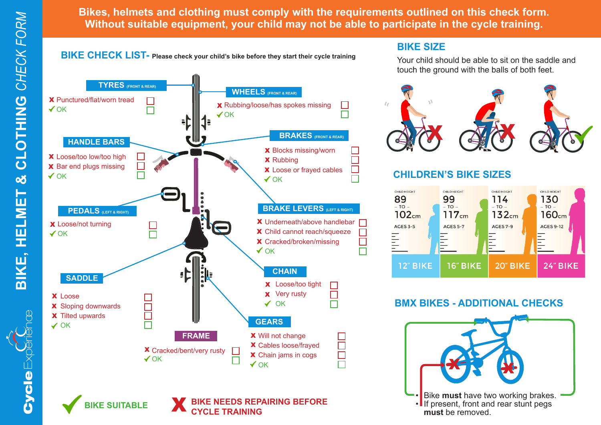**Cycle** Ex

e Expériènce

**Bikes, helmets and clothing must comply with the requirements outlined on this check form. Without suitable equipment, your child may not be able to participate in the cycle training.**



**BIKE SIZE**

Your child should be able to sit on the saddle and touch the ground with the balls of both feet.



### **CHILDREN'S BIKE SIZES**



### **BMX BIKES - ADDITIONAL CHECKS**





**IKE SUITABLE** 

**TYRES (FRONT & REAR)**

**BIKE NEEDS REPAIRING BEFORE CYCLE TRAINING**